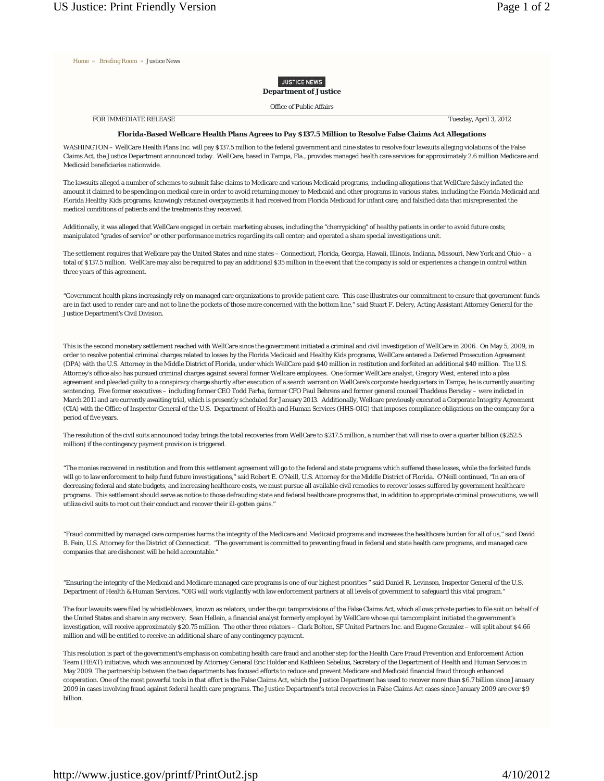Home » Briefing Room » Justice News

## **JUSTICE NEWS Department of Justice**

Office of Public Affairs

FOR IMMEDIATE RELEASE Tuesday, April 3, 2012

## **Florida-Based Wellcare Health Plans Agrees to Pay \$137.5 Million to Resolve False Claims Act Allegations**

WASHINGTON – WellCare Health Plans Inc. will pay \$137.5 million to the federal government and nine states to resolve four lawsuits alleging violations of the False Claims Act, the Justice Department announced today. WellCare, based in Tampa, Fla., provides managed health care services for approximately 2.6 million Medicare and Medicaid beneficiaries nationwide.

The lawsuits alleged a number of schemes to submit false claims to Medicare and various Medicaid programs, including allegations that WellCare falsely inflated the amount it claimed to be spending on medical care in order to avoid returning money to Medicaid and other programs in various states, including the Florida Medicaid and Florida Healthy Kids programs; knowingly retained overpayments it had received from Florida Medicaid for infant care; and falsified data that misrepresented the medical conditions of patients and the treatments they received.

Additionally, it was alleged that WellCare engaged in certain marketing abuses, including the "cherrypicking" of healthy patients in order to avoid future costs; manipulated "grades of service" or other performance metrics regarding its call center; and operated a sham special investigations unit.

The settlement requires that Wellcare pay the United States and nine states – Connecticut, Florida, Georgia, Hawaii, Illinois, Indiana, Missouri, New York and Ohio – a total of \$137.5 million. WellCare may also be required to pay an additional \$35 million in the event that the company is sold or experiences a change in control within three years of this agreement.

"Government health plans increasingly rely on managed care organizations to provide patient care. This case illustrates our commitment to ensure that government funds are in fact used to render care and not to line the pockets of those more concerned with the bottom line," said Stuart F. Delery, Acting Assistant Attorney General for the Justice Department's Civil Division.

This is the second monetary settlement reached with WellCare since the government initiated a criminal and civil investigation of WellCare in 2006. On May 5, 2009, in order to resolve potential criminal charges related to losses by the Florida Medicaid and Healthy Kids programs, WellCare entered a Deferred Prosecution Agreement (DPA) with the U.S. Attorney in the Middle District of Florida, under which WellCare paid \$40 million in restitution and forfeited an additional \$40 million. The U.S. Attorney's office also has pursued criminal charges against several former Wellcare employees. One former WellCare analyst, Gregory West, entered into a plea agreement and pleaded guilty to a conspiracy charge shortly after execution of a search warrant on WellCare's corporate headquarters in Tampa; he is currently awaiting sentencing. Five former executives - including former CEO Todd Farha, former CFO Paul Behrens and former general counsel Thaddeus Bereday - were indicted in March 2011 and are currently awaiting trial, which is presently scheduled for January 2013. Additionally, Wellcare previously executed a Corporate Integrity Agreement (CIA) with the Office of Inspector General of the U.S. Department of Health and Human Services (HHS-OIG) that imposes compliance obligations on the company for a period of five years.

The resolution of the civil suits announced today brings the total recoveries from WellCare to \$217.5 million, a number that will rise to over a quarter billion (\$252.5 million) if the contingency payment provision is triggered.

"The monies recovered in restitution and from this settlement agreement will go to the federal and state programs which suffered these losses, while the forfeited funds will go to law enforcement to help fund future investigations," said Robert E. O'Neill, U.S. Attorney for the Middle District of Florida. O'Neill continued, "In an era of decreasing federal and state budgets, and increasing healthcare costs, we must pursue all available civil remedies to recover losses suffered by government healthcare programs. This settlement should serve as notice to those defrauding state and federal healthcare programs that, in addition to appropriate criminal prosecutions, we will utilize civil suits to root out their conduct and recover their ill-gotten gains."

"Fraud committed by managed care companies harms the integrity of the Medicare and Medicaid programs and increases the healthcare burden for all of us," said David B. Fein, U.S. Attorney for the District of Connecticut. "The government is committed to preventing fraud in federal and state health care programs, and managed care companies that are dishonest will be held accountable."

"Ensuring the integrity of the Medicaid and Medicare managed care programs is one of our highest priorities " said Daniel R. Levinson, Inspector General of the U.S. Department of Health & Human Services. "OIG will work vigilantly with law enforcement partners at all levels of government to safeguard this vital program."

The four lawsuits were filed by whistleblowers, known as relators, under the *qui tam*provisions of the False Claims Act, which allows private parties to file suit on behalf of the United States and share in any recovery. Sean Hellein, a financial analyst formerly employed by WellCare whose *qui tam*complaint initiated the government's investigation, will receive approximately \$20.75 million. The other three relators – Clark Bolton, SF United Partners Inc. and Eugene Gonzalez – will split about \$4.66 million and will be entitled to receive an additional share of any contingency payment.

This resolution is part of the government's emphasis on combating health care fraud and another step for the Health Care Fraud Prevention and Enforcement Action Team (HEAT) initiative, which was announced by Attorney General Eric Holder and Kathleen Sebelius, Secretary of the Department of Health and Human Services in May 2009. The partnership between the two departments has focused efforts to reduce and prevent Medicare and Medicaid financial fraud through enhanced cooperation. One of the most powerful tools in that effort is the False Claims Act, which the Justice Department has used to recover more than \$6.7 billion since January 2009 in cases involving fraud against federal health care programs. The Justice Department's total recoveries in False Claims Act cases since January 2009 are over \$9 billion.